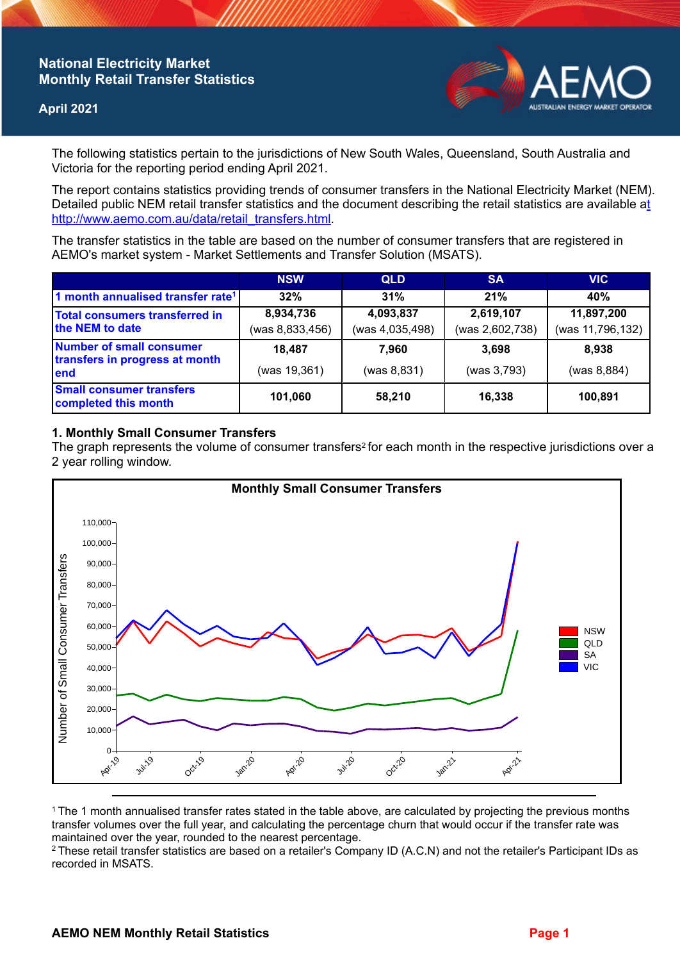# **National Electricity Market Monthly Retail Transfer Statistics**

### **April 2021**



The following statistics pertain to the jurisdictions of New South Wales, Queensland, South Australia and Victoria for the reporting period ending April 2021.

The report contains statistics providing trends of consumer transfers in the National Electricity Market (NEM). Detailed public NEM retail transfer statistics and the document describing the retail statistics are available a[t](http://www.aemo.com.au/data/retail_transfers.html)  http://www.aemo.com.au/data/retail\_transfers.html

The transfer statistics in the table are based on the number of consumer transfers that are registered in AEMO's market system - Market Settlements and Transfer Solution (MSATS).

|                                                                           | <b>NSW</b>      | <b>QLD</b>      | <b>SA</b>       | <b>VIC</b>       |
|---------------------------------------------------------------------------|-----------------|-----------------|-----------------|------------------|
| 1 month annualised transfer rate <sup>1</sup>                             | 32%             | 31%             | 21%             | 40%              |
| <b>Total consumers transferred in</b><br>the NEM to date                  | 8,934,736       | 4,093,837       | 2,619,107       | 11,897,200       |
|                                                                           | (was 8,833,456) | (was 4,035,498) | (was 2,602,738) | (was 11,796,132) |
| <b>Number of small consumer</b><br>transfers in progress at month<br>lend | 18,487          | 7.960           | 3.698           | 8.938            |
|                                                                           | (was 19,361)    | (was 8, 831)    | (was 3,793)     | (was 8, 884)     |
| <b>Small consumer transfers</b><br>completed this month                   | 101,060         | 58,210          | 16,338          | 100,891          |

## **1. Monthly Small Consumer Transfers**

The graph represents the volume of consumer transfers<sup>2</sup> for each month in the respective jurisdictions over a 2 year rolling window.



<sup>1</sup>The 1 month annualised transfer rates stated in the table above, are calculated by projecting the previous months transfer volumes over the full year, and calculating the percentage churn that would occur if the transfer rate was maintained over the year, rounded to the nearest percentage.

<sup>2</sup> These retail transfer statistics are based on a retailer's Company ID (A.C.N) and not the retailer's Participant IDs as recorded in MSATS.